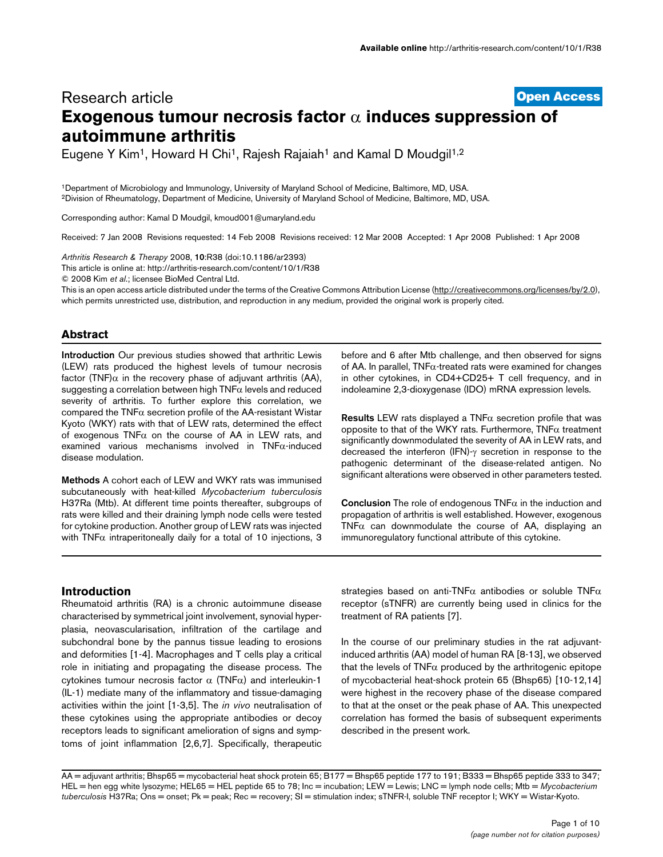# **[Open Access](http://www.biomedcentral.com/info/about/charter/)** Research article **Exogenous tumour necrosis factor** α **induces suppression of autoimmune arthritis**

Eugene Y Kim<sup>1</sup>, Howard H Chi<sup>1</sup>, Rajesh Rajaiah<sup>1</sup> and Kamal D Moudgil<sup>1,2</sup>

1Department of Microbiology and Immunology, University of Maryland School of Medicine, Baltimore, MD, USA. 2Division of Rheumatology, Department of Medicine, University of Maryland School of Medicine, Baltimore, MD, USA.

Corresponding author: Kamal D Moudgil, kmoud001@umaryland.ed[u](http://www.ncbi.nlm.nih.gov/entrez/query.fcgi?cmd=Retrieve&db=PubMed&dopt=Abstract&list_uids=18380898)

Received: 7 Jan 2008 Revisions requested: 14 Feb 2008 Revisions received: 12 Mar 2008 Accepted: 1 Apr 2008 Published: 1 Apr 2008

*Arthritis Research & Therapy* 2008, **10**:R38 (doi:10.1186/ar2393)

[This article is online at: http://arthritis-research.com/content/10/1/R38](http://arthritis-research.com/content/10/1/R38)

© 2008 Kim *et al*.; licensee BioMed Central Ltd.

This is an open access article distributed under the terms of the Creative Commons Attribution License [\(http://creativecommons.org/licenses/by/2.0\)](http://creativecommons.org/licenses/by/2.0), which permits unrestricted use, distribution, and reproduction in any medium, provided the original work is properly cited.

# **Abstract**

**Introduction** Our previous studies showed that arthritic Lewis (LEW) rats produced the highest levels of tumour necrosis factor (TNF) $\alpha$  in the recovery phase of adjuvant arthritis (AA), suggesting a correlation between high  $TNF\alpha$  levels and reduced severity of arthritis. To further explore this correlation, we compared the  $TNF\alpha$  secretion profile of the AA-resistant Wistar Kyoto (WKY) rats with that of LEW rats, determined the effect of exogenous TNF $\alpha$  on the course of AA in LEW rats, and examined various mechanisms involved in TNFα-induced disease modulation.

**Methods** A cohort each of LEW and WKY rats was immunised subcutaneously with heat-killed *Mycobacterium tuberculosis* H37Ra (Mtb). At different time points thereafter, subgroups of rats were killed and their draining lymph node cells were tested for cytokine production. Another group of LEW rats was injected with TNF $\alpha$  intraperitoneally daily for a total of 10 injections, 3

before and 6 after Mtb challenge, and then observed for signs of AA. In parallel,  $TNF\alpha$ -treated rats were examined for changes in other cytokines, in CD4+CD25+ T cell frequency, and in indoleamine 2,3-dioxygenase (IDO) mRNA expression levels.

**Results** LEW rats displayed a TNFα secretion profile that was opposite to that of the WKY rats. Furthermore, TNFα treatment significantly downmodulated the severity of AA in LEW rats, and decreased the interferon (IFN)-γ secretion in response to the pathogenic determinant of the disease-related antigen. No significant alterations were observed in other parameters tested.

**Conclusion** The role of endogenous TNFα in the induction and propagation of arthritis is well established. However, exogenous  $TNF\alpha$  can downmodulate the course of AA, displaying an immunoregulatory functional attribute of this cytokine.

# **Introduction**

Rheumatoid arthritis (RA) is a chronic autoimmune disease characterised by symmetrical joint involvement, synovial hyperplasia, neovascularisation, infiltration of the cartilage and subchondral bone by the pannus tissue leading to erosions and deformities [1-4]. Macrophages and T cells play a critical role in initiating and propagating the disease process. The cytokines tumour necrosis factor  $\alpha$  (TNF $\alpha$ ) and interleukin-1 (IL-1) mediate many of the inflammatory and tissue-damaging activities within the joint [1-3,5]. The *in vivo* neutralisation of these cytokines using the appropriate antibodies or decoy receptors leads to significant amelioration of signs and symptoms of joint inflammation [2,6,7]. Specifically, therapeutic

strategies based on anti-TNF $\alpha$  antibodies or soluble TNF $\alpha$ receptor (sTNFR) are currently being used in clinics for the treatment of RA patients [7].

In the course of our preliminary studies in the rat adjuvantinduced arthritis (AA) model of human RA [8-13], we observed that the levels of  $TNF\alpha$  produced by the arthritogenic epitope of mycobacterial heat-shock protein 65 (Bhsp65) [10-12,14] were highest in the recovery phase of the disease compared to that at the onset or the peak phase of AA. This unexpected correlation has formed the basis of subsequent experiments described in the present work.

AA = adjuvant arthritis; Bhsp65 = mycobacterial heat shock protein 65; B177 = Bhsp65 peptide 177 to 191; B333 = Bhsp65 peptide 333 to 347; HEL = hen egg white lysozyme; HEL65 = HEL peptide 65 to 78; Inc = incubation; LEW = Lewis; LNC = lymph node cells; Mtb = *Mycobacterium tuberculosis* H37Ra; Ons = onset; Pk = peak; Rec = recovery; SI = stimulation index; sTNFR-I, soluble TNF receptor I; WKY = Wistar-Kyoto.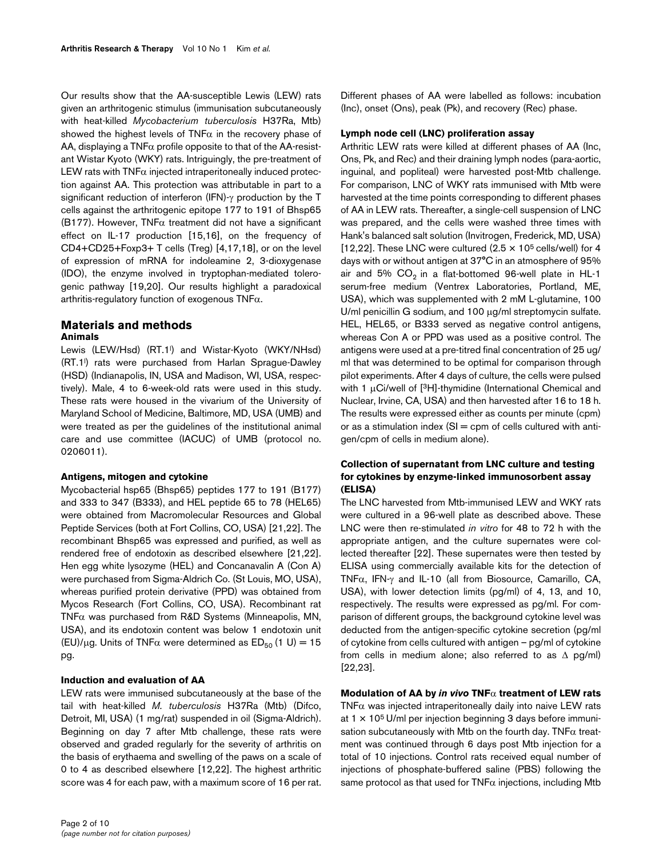Our results show that the AA-susceptible Lewis (LEW) rats given an arthritogenic stimulus (immunisation subcutaneously with heat-killed *Mycobacterium tuberculosis* H37Ra, Mtb) showed the highest levels of  $TNF\alpha$  in the recovery phase of AA, displaying a  $TNF\alpha$  profile opposite to that of the AA-resistant Wistar Kyoto (WKY) rats. Intriguingly, the pre-treatment of LEW rats with  $TNF\alpha$  injected intraperitoneally induced protection against AA. This protection was attributable in part to a significant reduction of interferon (IFN)-γ production by the T cells against the arthritogenic epitope 177 to 191 of Bhsp65 (B177). However, TNF $\alpha$  treatment did not have a significant effect on IL-17 production [15,16], on the frequency of CD4+CD25+Foxp3+ T cells (Treg) [4,17,18], or on the level of expression of mRNA for indoleamine 2, 3-dioxygenase (IDO), the enzyme involved in tryptophan-mediated tolerogenic pathway [19,20]. Our results highlight a paradoxical arthritis-regulatory function of exogenous TNFα.

### **Materials and methods Animals**

Lewis (LEW/Hsd) (RT.1<sup>)</sup>) and Wistar-Kyoto (WKY/NHsd) (RT.1l ) rats were purchased from Harlan Sprague-Dawley (HSD) (Indianapolis, IN, USA and Madison, WI, USA, respectively). Male, 4 to 6-week-old rats were used in this study. These rats were housed in the vivarium of the University of Maryland School of Medicine, Baltimore, MD, USA (UMB) and were treated as per the guidelines of the institutional animal care and use committee (IACUC) of UMB (protocol no. 0206011).

### **Antigens, mitogen and cytokine**

Mycobacterial hsp65 (Bhsp65) peptides 177 to 191 (B177) and 333 to 347 (B333), and HEL peptide 65 to 78 (HEL65) were obtained from Macromolecular Resources and Global Peptide Services (both at Fort Collins, CO, USA) [21,22]. The recombinant Bhsp65 was expressed and purified, as well as rendered free of endotoxin as described elsewhere [21,22]. Hen egg white lysozyme (HEL) and Concanavalin A (Con A) were purchased from Sigma-Aldrich Co. (St Louis, MO, USA), whereas purified protein derivative (PPD) was obtained from Mycos Research (Fort Collins, CO, USA). Recombinant rat TNFα was purchased from R&D Systems (Minneapolis, MN, USA), and its endotoxin content was below 1 endotoxin unit (EU)/ $\mu$ g. Units of TNF $\alpha$  were determined as ED<sub>50</sub> (1 U) = 15 pg.

## **Induction and evaluation of AA**

LEW rats were immunised subcutaneously at the base of the tail with heat-killed *M. tuberculosis* H37Ra (Mtb) (Difco, Detroit, MI, USA) (1 mg/rat) suspended in oil (Sigma-Aldrich). Beginning on day 7 after Mtb challenge, these rats were observed and graded regularly for the severity of arthritis on the basis of erythaema and swelling of the paws on a scale of 0 to 4 as described elsewhere [12,22]. The highest arthritic score was 4 for each paw, with a maximum score of 16 per rat. Different phases of AA were labelled as follows: incubation (Inc), onset (Ons), peak (Pk), and recovery (Rec) phase.

## **Lymph node cell (LNC) proliferation assay**

Arthritic LEW rats were killed at different phases of AA (Inc, Ons, Pk, and Rec) and their draining lymph nodes (para-aortic, inguinal, and popliteal) were harvested post-Mtb challenge. For comparison, LNC of WKY rats immunised with Mtb were harvested at the time points corresponding to different phases of AA in LEW rats. Thereafter, a single-cell suspension of LNC was prepared, and the cells were washed three times with Hank's balanced salt solution (Invitrogen, Frederick, MD, USA) [12,22]. These LNC were cultured (2.5  $\times$  10<sup>5</sup> cells/well) for 4 days with or without antigen at 37°C in an atmosphere of 95% air and 5%  $CO<sub>2</sub>$  in a flat-bottomed 96-well plate in HL-1 serum-free medium (Ventrex Laboratories, Portland, ME, USA), which was supplemented with 2 mM L-glutamine, 100 U/ml penicillin G sodium, and 100 μg/ml streptomycin sulfate. HEL, HEL65, or B333 served as negative control antigens, whereas Con A or PPD was used as a positive control. The antigens were used at a pre-titred final concentration of 25 ug/ ml that was determined to be optimal for comparison through pilot experiments. After 4 days of culture, the cells were pulsed with 1 μCi/well of [3H]-thymidine (International Chemical and Nuclear, Irvine, CA, USA) and then harvested after 16 to 18 h. The results were expressed either as counts per minute (cpm) or as a stimulation index  $(SI =$  cpm of cells cultured with antigen/cpm of cells in medium alone).

# **Collection of supernatant from LNC culture and testing for cytokines by enzyme-linked immunosorbent assay (ELISA)**

The LNC harvested from Mtb-immunised LEW and WKY rats were cultured in a 96-well plate as described above. These LNC were then re-stimulated *in vitro* for 48 to 72 h with the appropriate antigen, and the culture supernates were collected thereafter [22]. These supernates were then tested by ELISA using commercially available kits for the detection of TNFα, IFN-γ and IL-10 (all from Biosource, Camarillo, CA, USA), with lower detection limits (pg/ml) of 4, 13, and 10, respectively. The results were expressed as pg/ml. For comparison of different groups, the background cytokine level was deducted from the antigen-specific cytokine secretion (pg/ml of cytokine from cells cultured with antigen – pg/ml of cytokine from cells in medium alone; also referred to as  $\Delta$  pg/ml) [22,23].

**Modulation of AA by** *in vivo* **TNF**α **treatment of LEW rats**  $TNF\alpha$  was injected intraperitoneally daily into naive LEW rats at  $1 \times 10^5$  U/ml per injection beginning 3 days before immunisation subcutaneously with Mtb on the fourth day. TNF $\alpha$  treatment was continued through 6 days post Mtb injection for a total of 10 injections. Control rats received equal number of injections of phosphate-buffered saline (PBS) following the same protocol as that used for  $TNF\alpha$  injections, including Mtb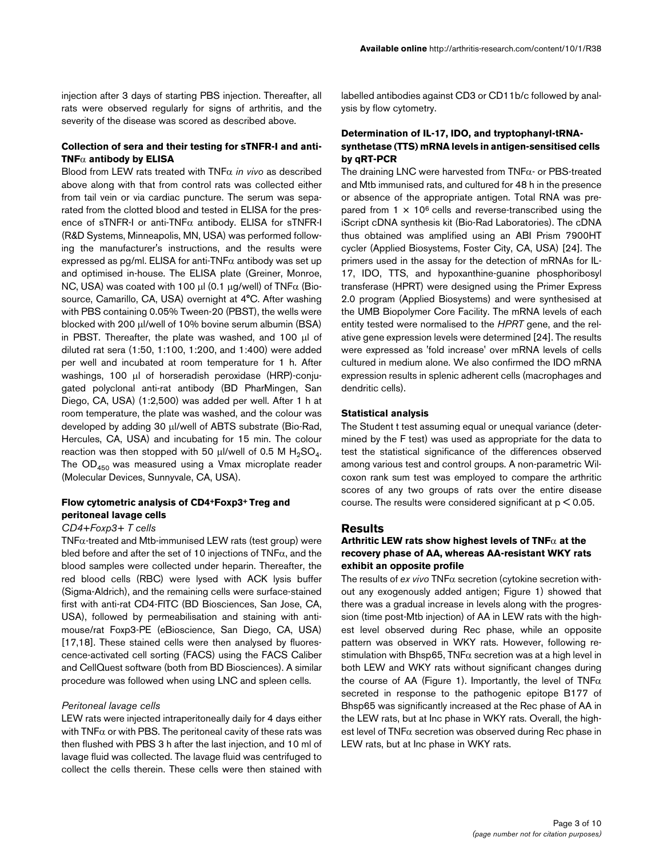injection after 3 days of starting PBS injection. Thereafter, all rats were observed regularly for signs of arthritis, and the severity of the disease was scored as described above.

# **Collection of sera and their testing for sTNFR-I and anti-TNF**α **antibody by ELISA**

Blood from LEW rats treated with TNFα *in vivo* as described above along with that from control rats was collected either from tail vein or via cardiac puncture. The serum was separated from the clotted blood and tested in ELISA for the presence of sTNFR-I or anti-TNF $\alpha$  antibody. ELISA for sTNFR-I (R&D Systems, Minneapolis, MN, USA) was performed following the manufacturer's instructions, and the results were expressed as pg/ml. ELISA for anti-TNF $\alpha$  antibody was set up and optimised in-house. The ELISA plate (Greiner, Monroe, NC, USA) was coated with 100 μl (0.1 μg/well) of TNF $\alpha$  (Biosource, Camarillo, CA, USA) overnight at 4°C. After washing with PBS containing 0.05% Tween-20 (PBST), the wells were blocked with 200 μl/well of 10% bovine serum albumin (BSA) in PBST. Thereafter, the plate was washed, and 100 μl of diluted rat sera (1:50, 1:100, 1:200, and 1:400) were added per well and incubated at room temperature for 1 h. After washings, 100 μl of horseradish peroxidase (HRP)-conjugated polyclonal anti-rat antibody (BD PharMingen, San Diego, CA, USA) (1:2,500) was added per well. After 1 h at room temperature, the plate was washed, and the colour was developed by adding 30 μl/well of ABTS substrate (Bio-Rad, Hercules, CA, USA) and incubating for 15 min. The colour reaction was then stopped with 50 μl/well of 0.5 M  $H_2SO_4$ . The  $OD<sub>450</sub>$  was measured using a Vmax microplate reader (Molecular Devices, Sunnyvale, CA, USA).

# **Flow cytometric analysis of CD4+Foxp3+ Treg and peritoneal lavage cells**

## *CD4+Foxp3+ T cells*

 $TNF\alpha$ -treated and Mtb-immunised LEW rats (test group) were bled before and after the set of 10 injections of  $TNF\alpha$ , and the blood samples were collected under heparin. Thereafter, the red blood cells (RBC) were lysed with ACK lysis buffer (Sigma-Aldrich), and the remaining cells were surface-stained first with anti-rat CD4-FITC (BD Biosciences, San Jose, CA, USA), followed by permeabilisation and staining with antimouse/rat Foxp3-PE (eBioscience, San Diego, CA, USA) [17,18]. These stained cells were then analysed by fluorescence-activated cell sorting (FACS) using the FACS Caliber and CellQuest software (both from BD Biosciences). A similar procedure was followed when using LNC and spleen cells.

#### *Peritoneal lavage cells*

LEW rats were injected intraperitoneally daily for 4 days either with  $TNF\alpha$  or with PBS. The peritoneal cavity of these rats was then flushed with PBS 3 h after the last injection, and 10 ml of lavage fluid was collected. The lavage fluid was centrifuged to collect the cells therein. These cells were then stained with

labelled antibodies against CD3 or CD11b/c followed by analysis by flow cytometry.

# **Determination of IL-17, IDO, and tryptophanyl-tRNAsynthetase (TTS) mRNA levels in antigen-sensitised cells by qRT-PCR**

The draining LNC were harvested from TNFα- or PBS-treated and Mtb immunised rats, and cultured for 48 h in the presence or absence of the appropriate antigen. Total RNA was prepared from  $1 \times 10^6$  cells and reverse-transcribed using the iScript cDNA synthesis kit (Bio-Rad Laboratories). The cDNA thus obtained was amplified using an ABI Prism 7900HT cycler (Applied Biosystems, Foster City, CA, USA) [24]. The primers used in the assay for the detection of mRNAs for IL-17, IDO, TTS, and hypoxanthine-guanine phosphoribosyl transferase (HPRT) were designed using the Primer Express 2.0 program (Applied Biosystems) and were synthesised at the UMB Biopolymer Core Facility. The mRNA levels of each entity tested were normalised to the *HPRT* gene, and the relative gene expression levels were determined [24]. The results were expressed as 'fold increase' over mRNA levels of cells cultured in medium alone. We also confirmed the IDO mRNA expression results in splenic adherent cells (macrophages and dendritic cells).

#### **Statistical analysis**

The Student t test assuming equal or unequal variance (determined by the F test) was used as appropriate for the data to test the statistical significance of the differences observed among various test and control groups. A non-parametric Wilcoxon rank sum test was employed to compare the arthritic scores of any two groups of rats over the entire disease course. The results were considered significant at  $p < 0.05$ .

#### **Results**

# **Arthritic LEW rats show highest levels of TNF**α **at the recovery phase of AA, whereas AA-resistant WKY rats exhibit an opposite profile**

The results of *ex vivo* TNFα secretion (cytokine secretion without any exogenously added antigen; Figure 1) showed that there was a gradual increase in levels along with the progression (time post-Mtb injection) of AA in LEW rats with the highest level observed during Rec phase, while an opposite pattern was observed in WKY rats. However, following restimulation with Bhsp65, TNF $\alpha$  secretion was at a high level in both LEW and WKY rats without significant changes during the course of AA (Figure 1). Importantly, the level of  $TNF\alpha$ secreted in response to the pathogenic epitope B177 of Bhsp65 was significantly increased at the Rec phase of AA in the LEW rats, but at Inc phase in WKY rats. Overall, the highest level of TNF $\alpha$  secretion was observed during Rec phase in LEW rats, but at Inc phase in WKY rats.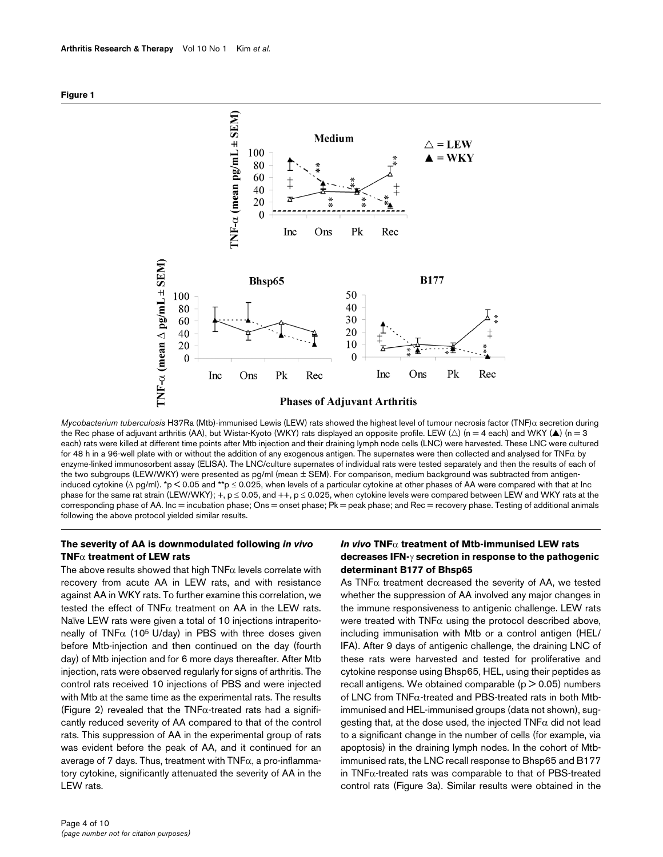



 $Mycobacterium tuberculosis$  H37Ra (Mtb)-immunised Lewis (LEW) rats showed the highest level of tumour necrosis factor (TNF) $\alpha$  secretion during the Rec phase of adjuvant arthritis (AA), but Wistar-Kyoto (WKY) rats displayed an opposite profile. LEW ( $\triangle$ ) (n = 4 each) and WKY ( $\blacktriangle$ ) (n = 3 each) rats were killed at different time points after Mtb injection and their draining lymph node cells (LNC) were harvested. These LNC were cultured for 48 h in a 96-well plate with or without the addition of any exogenous antigen. The supernates were then collected and analysed for TNF $\alpha$  by enzyme-linked immunosorbent assay (ELISA). The LNC/culture supernates of individual rats were tested separately and then the results of each of the two subgroups (LEW/WKY) were presented as pg/ml (mean  $\pm$  SEM). For comparison, medium background was subtracted from antigeninduced cytokine (Δ pg/ml). \*p < 0.05 and \*\*p ≤ 0.025, when levels of a particular cytokine at other phases of AA were compared with that at Inc phase for the same rat strain (LEW/WKY); +, p  $\leq$  0.05, and ++, p  $\leq$  0.025, when cytokine levels were compared between LEW and WKY rats at the corresponding phase of AA. Inc = incubation phase; Ons = onset phase; Pk = peak phase; and Rec = recovery phase. Testing of additional animals following the above protocol yielded similar results.

## **The severity of AA is downmodulated following** *in vivo*  **TNF**α **treatment of LEW rats**

The above results showed that high  $TNF\alpha$  levels correlate with recovery from acute AA in LEW rats, and with resistance against AA in WKY rats. To further examine this correlation, we tested the effect of TNF $\alpha$  treatment on AA in the LEW rats. Naïve LEW rats were given a total of 10 injections intraperitoneally of TNF $\alpha$  (10<sup>5</sup> U/day) in PBS with three doses given before Mtb-injection and then continued on the day (fourth day) of Mtb injection and for 6 more days thereafter. After Mtb injection, rats were observed regularly for signs of arthritis. The control rats received 10 injections of PBS and were injected with Mtb at the same time as the experimental rats. The results (Figure [2\)](#page-4-0) revealed that the  $TNF\alpha$ -treated rats had a significantly reduced severity of AA compared to that of the control rats. This suppression of AA in the experimental group of rats was evident before the peak of AA, and it continued for an average of 7 days. Thus, treatment with  $TNF\alpha$ , a pro-inflammatory cytokine, significantly attenuated the severity of AA in the LEW rats.

# *In vivo* **TNF**α **treatment of Mtb-immunised LEW rats decreases IFN-**γ **secretion in response to the pathogenic determinant B177 of Bhsp65**

As  $TNF\alpha$  treatment decreased the severity of AA, we tested whether the suppression of AA involved any major changes in the immune responsiveness to antigenic challenge. LEW rats were treated with  $TNF\alpha$  using the protocol described above, including immunisation with Mtb or a control antigen (HEL/ IFA). After 9 days of antigenic challenge, the draining LNC of these rats were harvested and tested for proliferative and cytokine response using Bhsp65, HEL, using their peptides as recall antigens. We obtained comparable  $(p > 0.05)$  numbers of LNC from TNFα-treated and PBS-treated rats in both Mtbimmunised and HEL-immunised groups (data not shown), suggesting that, at the dose used, the injected  $TNF\alpha$  did not lead to a significant change in the number of cells (for example, via apoptosis) in the draining lymph nodes. In the cohort of Mtbimmunised rats, the LNC recall response to Bhsp65 and B177 in  $TNF\alpha$ -treated rats was comparable to that of PBS-treated control rats (Figure 3a). Similar results were obtained in the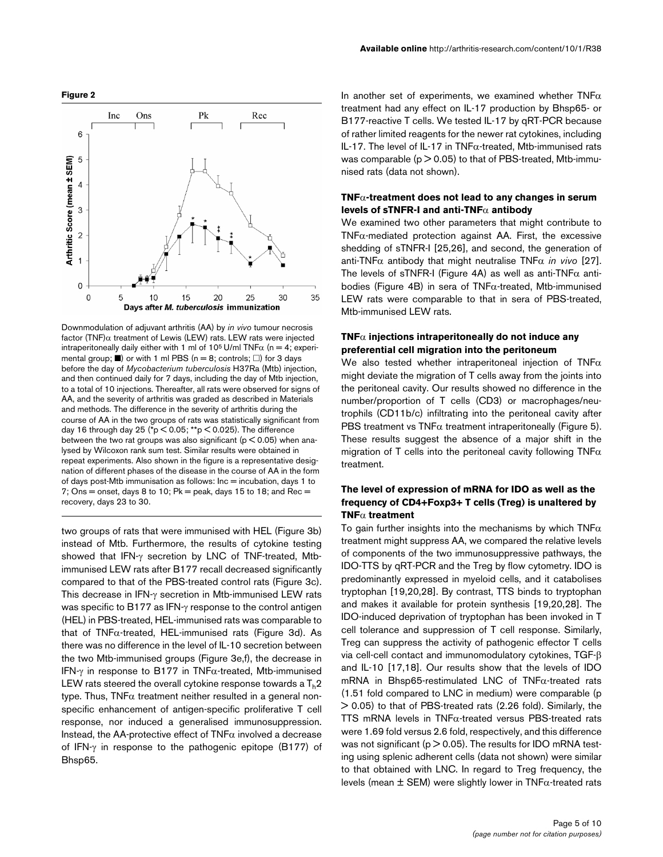

<span id="page-4-0"></span>

Downmodulation of adjuvant arthritis (AA) by *in vivo* tumour necrosis factor (TNF) $\alpha$  treatment of Lewis (LEW) rats. LEW rats were injected intraperitoneally daily either with 1 ml of 10<sup>5</sup> U/ml TNF $\alpha$  (n = 4; experimental group;  $\blacksquare$ ) or with 1 ml PBS (n = 8; controls;  $\Box$ ) for 3 days before the day of *Mycobacterium tuberculosis* H37Ra (Mtb) injection, and then continued daily for 7 days, including the day of Mtb injection, to a total of 10 injections. Thereafter, all rats were observed for signs of AA, and the severity of arthritis was graded as described in Materials and methods. The difference in the severity of arthritis during the course of AA in the two groups of rats was statistically significant from day 16 through day 25 ( $p$  < 0.05; \*\*p < 0.025). The difference between the two rat groups was also significant ( $p < 0.05$ ) when analysed by Wilcoxon rank sum test. Similar results were obtained in repeat experiments. Also shown in the figure is a representative designation of different phases of the disease in the course of AA in the form of days post-Mtb immunisation as follows: Inc = incubation, days 1 to 7; Ons = onset, days 8 to 10;  $Pk = peak$ , days 15 to 18; and  $Rec =$ recovery, days 23 to 30.

two groups of rats that were immunised with HEL (Figure 3b) instead of Mtb. Furthermore, the results of cytokine testing showed that IFN-γ secretion by LNC of TNF-treated, Mtbimmunised LEW rats after B177 recall decreased significantly compared to that of the PBS-treated control rats (Figure 3c). This decrease in IFN-γ secretion in Mtb-immunised LEW rats was specific to B177 as IFN-γ response to the control antigen (HEL) in PBS-treated, HEL-immunised rats was comparable to that of  $TNF\alpha$ -treated, HEL-immunised rats (Figure 3d). As there was no difference in the level of IL-10 secretion between the two Mtb-immunised groups (Figure 3e,f), the decrease in IFN- $\gamma$  in response to B177 in TNF $\alpha$ -treated, Mtb-immunised LEW rats steered the overall cytokine response towards a  $T_h$ 2 type. Thus,  $TNF\alpha$  treatment neither resulted in a general nonspecific enhancement of antigen-specific proliferative T cell response, nor induced a generalised immunosuppression. Instead, the AA-protective effect of  $TNF\alpha$  involved a decrease of IFN-γ in response to the pathogenic epitope (B177) of Bhsp65.

In another set of experiments, we examined whether  $TNF\alpha$ treatment had any effect on IL-17 production by Bhsp65- or B177-reactive T cells. We tested IL-17 by qRT-PCR because of rather limited reagents for the newer rat cytokines, including IL-17. The level of IL-17 in TNFα-treated, Mtb-immunised rats was comparable  $(p > 0.05)$  to that of PBS-treated, Mtb-immunised rats (data not shown).

## **TNF**α**-treatment does not lead to any changes in serum levels of sTNFR-I and anti-TNF**α **antibody**

We examined two other parameters that might contribute to TNF $\alpha$ -mediated protection against AA. First, the excessive shedding of sTNFR-I [25,26], and second, the generation of anti-TNFα antibody that might neutralise TNFα *in vivo* [27]. The levels of sTNFR-I (Figure [4A](#page-6-0)) as well as anti-TNF $\alpha$  anti-bodies (Figure [4](#page-6-0)B) in sera of  $TNF\alpha$ -treated, Mtb-immunised LEW rats were comparable to that in sera of PBS-treated, Mtb-immunised LEW rats.

# **TNF**α **injections intraperitoneally do not induce any preferential cell migration into the peritoneum**

We also tested whether intraperitoneal injection of  $TNF\alpha$ might deviate the migration of T cells away from the joints into the peritoneal cavity. Our results showed no difference in the number/proportion of T cells (CD3) or macrophages/neutrophils (CD11b/c) infiltrating into the peritoneal cavity after PBS treatment vs  $TNF\alpha$  treatment intraperitoneally (Figure [5\)](#page-7-0). These results suggest the absence of a major shift in the migration of T cells into the peritoneal cavity following  $TNF\alpha$ treatment.

# **The level of expression of mRNA for IDO as well as the frequency of CD4+Foxp3+ T cells (Treg) is unaltered by TNF**α **treatment**

To gain further insights into the mechanisms by which  $TNF\alpha$ treatment might suppress AA, we compared the relative levels of components of the two immunosuppressive pathways, the IDO-TTS by qRT-PCR and the Treg by flow cytometry. IDO is predominantly expressed in myeloid cells, and it catabolises tryptophan [19,20,28]. By contrast, TTS binds to tryptophan and makes it available for protein synthesis [19,20,28]. The IDO-induced deprivation of tryptophan has been invoked in T cell tolerance and suppression of T cell response. Similarly, Treg can suppress the activity of pathogenic effector T cells via cell-cell contact and immunomodulatory cytokines, TGF-β and IL-10 [17,18]. Our results show that the levels of IDO mRNA in Bhsp65-restimulated LNC of TNFα-treated rats (1.51 fold compared to LNC in medium) were comparable (p > 0.05) to that of PBS-treated rats (2.26 fold). Similarly, the TTS mRNA levels in  $TNF\alpha$ -treated versus PBS-treated rats were 1.69 fold versus 2.6 fold, respectively, and this difference was not significant ( $p > 0.05$ ). The results for IDO mRNA testing using splenic adherent cells (data not shown) were similar to that obtained with LNC. In regard to Treg frequency, the levels (mean  $\pm$  SEM) were slightly lower in TNF $\alpha$ -treated rats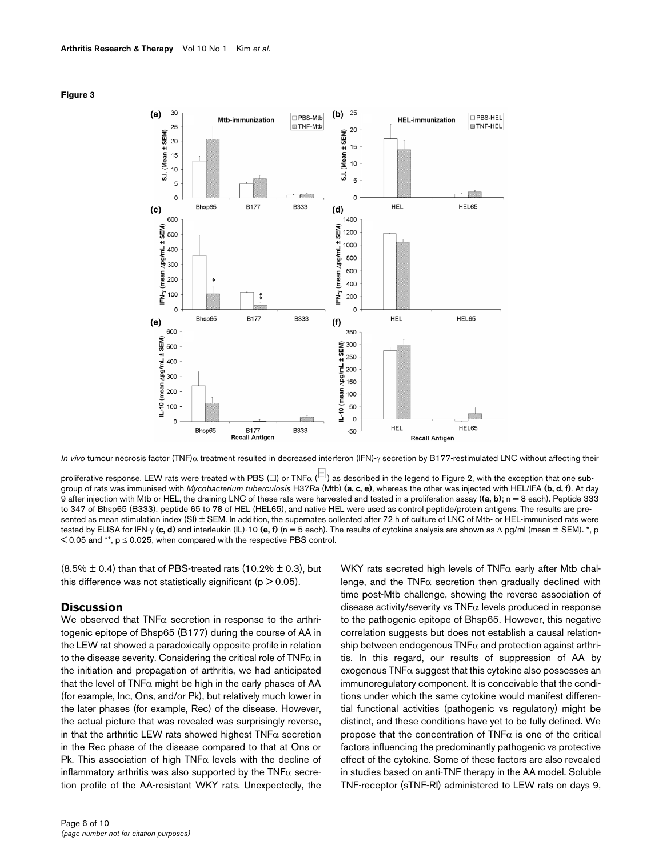



*In vivo* tumour necrosis factor (TNF) α treatment resulted in decreased interferon (IFN)-γ secretion by B177-restimulated LNC without affecting their

proliferative response. LEW rats were treated with PBS ( $\Box$ ) or TNF $\alpha$  ( $\bar{\Xi}$ ) as described in the legend to Figure 2, with the exception that one subgroup of rats was immunised with *Mycobacterium tuberculosis* H37Ra (Mtb) **(a, c, e)**, whereas the other was injected with HEL/IFA **(b, d, f)**. At day 9 after injection with Mtb or HEL, the draining LNC of these rats were harvested and tested in a proliferation assay  $((a, b)$ ; n = 8 each). Peptide 333 to 347 of Bhsp65 (B333), peptide 65 to 78 of HEL (HEL65), and native HEL were used as control peptide/protein antigens. The results are presented as mean stimulation index (SI) ± SEM. In addition, the supernates collected after 72 h of culture of LNC of Mtb- or HEL-immunised rats were tested by ELISA for IFN-γ **(c, d)** and interleukin (IL)-10 **(e, f)** (n = 5 each). The results of cytokine analysis are shown as Δ pg/ml (mean ± SEM). \*, p  $<$  0.05 and \*\*, p  $\leq$  0.025, when compared with the respective PBS control.

 $(8.5\% \pm 0.4)$  than that of PBS-treated rats  $(10.2\% \pm 0.3)$ , but this difference was not statistically significant ( $p > 0.05$ ).

# **Discussion**

We observed that  $TNF\alpha$  secretion in response to the arthritogenic epitope of Bhsp65 (B177) during the course of AA in the LEW rat showed a paradoxically opposite profile in relation to the disease severity. Considering the critical role of  $TNF\alpha$  in the initiation and propagation of arthritis, we had anticipated that the level of  $TNF\alpha$  might be high in the early phases of AA (for example, Inc, Ons, and/or Pk), but relatively much lower in the later phases (for example, Rec) of the disease. However, the actual picture that was revealed was surprisingly reverse, in that the arthritic LEW rats showed highest  $TNF\alpha$  secretion in the Rec phase of the disease compared to that at Ons or Pk. This association of high TNF $\alpha$  levels with the decline of inflammatory arthritis was also supported by the  $TNF\alpha$  secretion profile of the AA-resistant WKY rats. Unexpectedly, the

Page 6 of 10 *(page number not for citation purposes)* WKY rats secreted high levels of  $TNF\alpha$  early after Mtb challenge, and the TNF $\alpha$  secretion then gradually declined with time post-Mtb challenge, showing the reverse association of disease activity/severity vs  $TNF\alpha$  levels produced in response to the pathogenic epitope of Bhsp65. However, this negative correlation suggests but does not establish a causal relationship between endogenous  $TNF\alpha$  and protection against arthritis. In this regard, our results of suppression of AA by exogenous  $TNF\alpha$  suggest that this cytokine also possesses an immunoregulatory component. It is conceivable that the conditions under which the same cytokine would manifest differential functional activities (pathogenic vs regulatory) might be distinct, and these conditions have yet to be fully defined. We propose that the concentration of  $TNF\alpha$  is one of the critical factors influencing the predominantly pathogenic vs protective effect of the cytokine. Some of these factors are also revealed in studies based on anti-TNF therapy in the AA model. Soluble TNF-receptor (sTNF-RI) administered to LEW rats on days 9,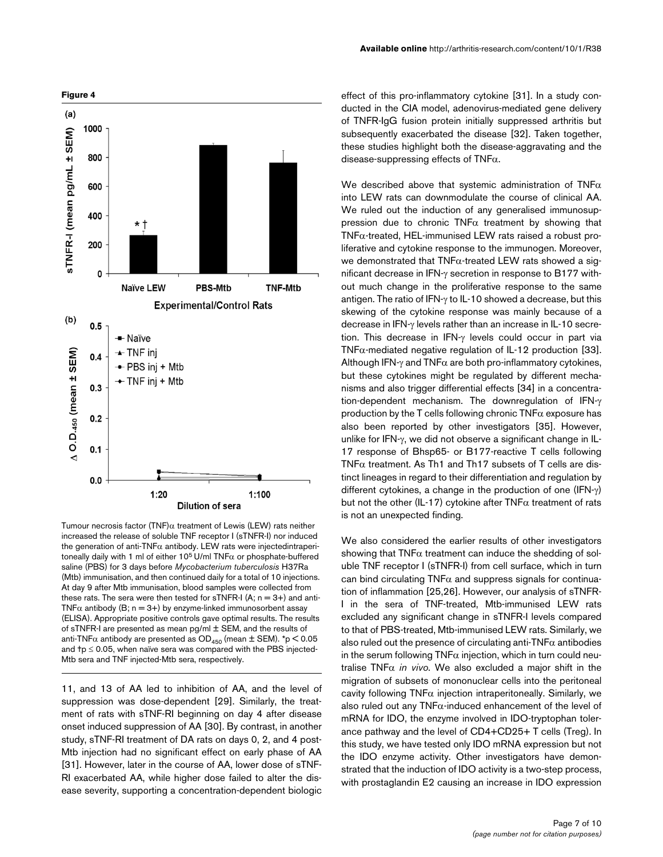<span id="page-6-0"></span>

Tumour necrosis factor (TNF) $α$  treatment of Lewis (LEW) rats neither increased the release of soluble TNF receptor I (sTNFR-I) nor induced the generation of anti-TNF $\alpha$  antibody. LEW rats were injected intraperitoneally daily with 1 ml of either 10<sup>5</sup> U/ml TNF $\alpha$  or phosphate-buffered saline (PBS) for 3 days before *Mycobacterium tuberculosis* H37Ra (Mtb) immunisation, and then continued daily for a total of 10 injections. At day 9 after Mtb immunisation, blood samples were collected from these rats. The sera were then tested for sTNFR-I  $(A; n = 3+)$  and anti-TNF $\alpha$  antibody (B; n = 3+) by enzyme-linked immunosorbent assay (ELISA). Appropriate positive controls gave optimal results. The results of sTNFR-I are presented as mean  $pg/ml \pm SEM$ , and the results of anti-TNF $\alpha$  antibody are presented as  $OD_{450}$  (mean  $\pm$  SEM). \*p < 0.05 and  $tp \leq 0.05$ , when naïve sera was compared with the PBS injected-Mtb sera and TNF injected-Mtb sera, respectively.

11, and 13 of AA led to inhibition of AA, and the level of suppression was dose-dependent [29]. Similarly, the treatment of rats with sTNF-RI beginning on day 4 after disease onset induced suppression of AA [30]. By contrast, in another study, sTNF-RI treatment of DA rats on days 0, 2, and 4 post-Mtb injection had no significant effect on early phase of AA [31]. However, later in the course of AA, lower dose of sTNF-RI exacerbated AA, while higher dose failed to alter the disease severity, supporting a concentration-dependent biologic

effect of this pro-inflammatory cytokine [31]. In a study conducted in the CIA model, adenovirus-mediated gene delivery of TNFR-IgG fusion protein initially suppressed arthritis but subsequently exacerbated the disease [32]. Taken together, these studies highlight both the disease-aggravating and the disease-suppressing effects of TNF $\alpha$ .

We described above that systemic administration of  $TNF\alpha$ into LEW rats can downmodulate the course of clinical AA. We ruled out the induction of any generalised immunosuppression due to chronic  $TNF\alpha$  treatment by showing that TNFα-treated, HEL-immunised LEW rats raised a robust proliferative and cytokine response to the immunogen. Moreover, we demonstrated that  $TNF\alpha$ -treated LEW rats showed a significant decrease in IFN-γ secretion in response to B177 without much change in the proliferative response to the same antigen. The ratio of IFN-γ to IL-10 showed a decrease, but this skewing of the cytokine response was mainly because of a decrease in IFN-γ levels rather than an increase in IL-10 secretion. This decrease in IFN-γ levels could occur in part via TNF $\alpha$ -mediated negative regulation of IL-12 production [33]. Although IFN- $\gamma$  and TNF $\alpha$  are both pro-inflammatory cytokines, but these cytokines might be regulated by different mechanisms and also trigger differential effects [34] in a concentration-dependent mechanism. The downregulation of IFN-γ production by the T cells following chronic  $TNF\alpha$  exposure has also been reported by other investigators [35]. However, unlike for IFN-γ, we did not observe a significant change in IL-17 response of Bhsp65- or B177-reactive T cells following TNF $\alpha$  treatment. As Th1 and Th17 subsets of T cells are distinct lineages in regard to their differentiation and regulation by different cytokines, a change in the production of one (IFN-γ) but not the other (IL-17) cytokine after  $TNF\alpha$  treatment of rats is not an unexpected finding.

We also considered the earlier results of other investigators showing that  $TNF\alpha$  treatment can induce the shedding of soluble TNF receptor I (sTNFR-I) from cell surface, which in turn can bind circulating TNF $\alpha$  and suppress signals for continuation of inflammation [25,26]. However, our analysis of sTNFR-I in the sera of TNF-treated, Mtb-immunised LEW rats excluded any significant change in sTNFR-I levels compared to that of PBS-treated, Mtb-immunised LEW rats. Similarly, we also ruled out the presence of circulating anti-TNF $\alpha$  antibodies in the serum following  $TNF\alpha$  injection, which in turn could neutralise  $TNF\alpha$  *in vivo*. We also excluded a major shift in the migration of subsets of mononuclear cells into the peritoneal cavity following  $TNF\alpha$  injection intraperitoneally. Similarly, we also ruled out any TNFα-induced enhancement of the level of mRNA for IDO, the enzyme involved in IDO-tryptophan tolerance pathway and the level of CD4+CD25+ T cells (Treg). In this study, we have tested only IDO mRNA expression but not the IDO enzyme activity. Other investigators have demonstrated that the induction of IDO activity is a two-step process, with prostaglandin E2 causing an increase in IDO expression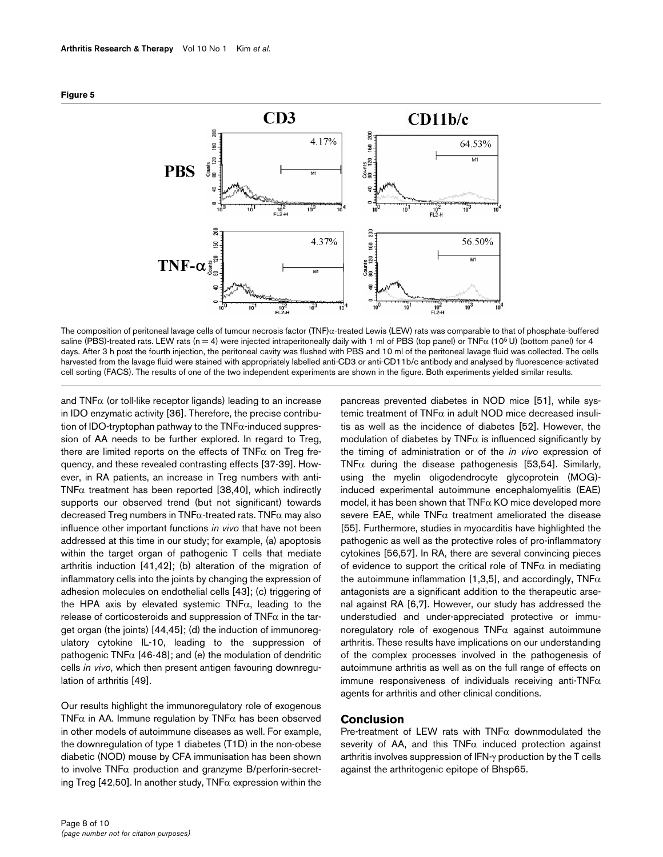<span id="page-7-0"></span>



The composition of peritoneal lavage cells of tumour necrosis factor (TNF) $\alpha$ -treated Lewis (LEW) rats was comparable to that of phosphate-buffered saline (PBS)-treated rats. LEW rats (n = 4) were injected intraperitoneally daily with 1 ml of PBS (top panel) or TNF $\alpha$  (10<sup>5</sup> U) (bottom panel) for 4 days. After 3 h post the fourth injection, the peritoneal cavity was flushed with PBS and 10 ml of the peritoneal lavage fluid was collected. The cells harvested from the lavage fluid were stained with appropriately labelled anti-CD3 or anti-CD11b/c antibody and analysed by fluorescence-activated cell sorting (FACS). The results of one of the two independent experiments are shown in the figure. Both experiments yielded similar results.

and  $TNF\alpha$  (or toll-like receptor ligands) leading to an increase in IDO enzymatic activity [36]. Therefore, the precise contribution of IDO-tryptophan pathway to the  $TNF\alpha$ -induced suppression of AA needs to be further explored. In regard to Treg, there are limited reports on the effects of  $TNF\alpha$  on Treg frequency, and these revealed contrasting effects [37-39]. However, in RA patients, an increase in Treg numbers with anti-TNF $\alpha$  treatment has been reported [38,40], which indirectly supports our observed trend (but not significant) towards decreased Treg numbers in  $TNF\alpha$ -treated rats. TNF $\alpha$  may also influence other important functions *in vivo* that have not been addressed at this time in our study; for example, (a) apoptosis within the target organ of pathogenic T cells that mediate arthritis induction [41,42]; (b) alteration of the migration of inflammatory cells into the joints by changing the expression of adhesion molecules on endothelial cells [43]; (c) triggering of the HPA axis by elevated systemic TNF $\alpha$ , leading to the release of corticosteroids and suppression of  $TNF\alpha$  in the target organ (the joints) [44,45]; (d) the induction of immunoregulatory cytokine IL-10, leading to the suppression of pathogenic TNF $\alpha$  [46-48]; and (e) the modulation of dendritic cells *in vivo*, which then present antigen favouring downregulation of arthritis [49].

Our results highlight the immunoregulatory role of exogenous TNF $\alpha$  in AA. Immune regulation by TNF $\alpha$  has been observed in other models of autoimmune diseases as well. For example, the downregulation of type 1 diabetes (T1D) in the non-obese diabetic (NOD) mouse by CFA immunisation has been shown to involve TNFα production and granzyme B/perforin-secreting Treg [42,50]. In another study,  $TNF\alpha$  expression within the pancreas prevented diabetes in NOD mice [51], while systemic treatment of  $TNF\alpha$  in adult NOD mice decreased insulitis as well as the incidence of diabetes [52]. However, the modulation of diabetes by  $TNF\alpha$  is influenced significantly by the timing of administration or of the *in vivo* expression of TNF $\alpha$  during the disease pathogenesis [53,54]. Similarly, using the myelin oligodendrocyte glycoprotein (MOG) induced experimental autoimmune encephalomyelitis (EAE) model, it has been shown that  $TNF\alpha$  KO mice developed more severe EAE, while TNF $\alpha$  treatment ameliorated the disease [55]. Furthermore, studies in myocarditis have highlighted the pathogenic as well as the protective roles of pro-inflammatory cytokines [56,57]. In RA, there are several convincing pieces of evidence to support the critical role of  $TNF\alpha$  in mediating the autoimmune inflammation [1,3,5], and accordingly,  $TNF\alpha$ antagonists are a significant addition to the therapeutic arsenal against RA [6,7]. However, our study has addressed the understudied and under-appreciated protective or immunoregulatory role of exogenous  $TNF\alpha$  against autoimmune arthritis. These results have implications on our understanding of the complex processes involved in the pathogenesis of autoimmune arthritis as well as on the full range of effects on immune responsiveness of individuals receiving anti-TNF $\alpha$ agents for arthritis and other clinical conditions.

## **Conclusion**

Pre-treatment of LEW rats with  $TNF\alpha$  downmodulated the severity of AA, and this  $TNF\alpha$  induced protection against arthritis involves suppression of IFN-γ production by the T cells against the arthritogenic epitope of Bhsp65.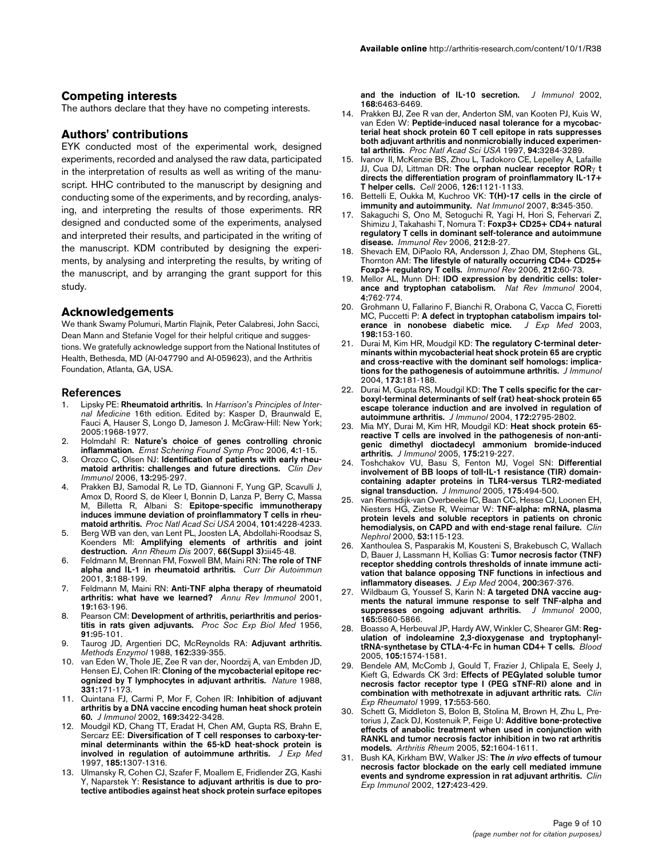# **Competing interests**

The authors declare that they have no competing interests.

## **Authors' contributions**

EYK conducted most of the experimental work, designed experiments, recorded and analysed the raw data, participated in the interpretation of results as well as writing of the manuscript. HHC contributed to the manuscript by designing and conducting some of the experiments, and by recording, analysing, and interpreting the results of those experiments. RR designed and conducted some of the experiments, analysed and interpreted their results, and participated in the writing of the manuscript. KDM contributed by designing the experiments, by analysing and interpreting the results, by writing of the manuscript, and by arranging the grant support for this study.

### **Acknowledgements**

We thank Swamy Polumuri, Martin Flajnik, Peter Calabresi, John Sacci, Dean Mann and Stefanie Vogel for their helpful critique and suggestions. We gratefully acknowledge support from the National Institutes of Health, Bethesda, MD (AI-047790 and AI-059623), and the Arthritis Foundation, Atlanta, GA, USA.

#### **References**

- 1. Lipsky PE: **Rheumatoid arthritis.** In *Harrison's Principles of Internal Medicine* 16th edition. Edited by: Kasper D, Braunwald E, Fauci A, Hauser S, Longo D, Jameson J. McGraw-Hill: New York; 2005:1968-1977.
- 2. Holmdahl R: **[Nature's choice of genes controlling chronic](http://www.ncbi.nlm.nih.gov/entrez/query.fcgi?cmd=Retrieve&db=PubMed&dopt=Abstract&list_uids=17824178) [inflammation.](http://www.ncbi.nlm.nih.gov/entrez/query.fcgi?cmd=Retrieve&db=PubMed&dopt=Abstract&list_uids=17824178)** *Ernst Schering Found Symp Proc* 2006, **4:**1-15.
- 3. Orozco C, Olsen NJ: **[Identification of patients with early rheu](http://www.ncbi.nlm.nih.gov/entrez/query.fcgi?cmd=Retrieve&db=PubMed&dopt=Abstract&list_uids=17162371)[matoid arthritis: challenges and future directions.](http://www.ncbi.nlm.nih.gov/entrez/query.fcgi?cmd=Retrieve&db=PubMed&dopt=Abstract&list_uids=17162371)** *Clin Dev Immunol* 2006, **13:**295-297.
- 4. Prakken BJ, Samodal R, Le TD, Giannoni F, Yung GP, Scavulli J, Amox D, Roord S, de Kleer I, Bonnin D, Lanza P, Berry C, Massa M, Billetta R, Albani S: **[Epitope-specific immunotherapy](http://www.ncbi.nlm.nih.gov/entrez/query.fcgi?cmd=Retrieve&db=PubMed&dopt=Abstract&list_uids=15024101) [induces immune deviation of proinflammatory T cells in rheu](http://www.ncbi.nlm.nih.gov/entrez/query.fcgi?cmd=Retrieve&db=PubMed&dopt=Abstract&list_uids=15024101)[matoid arthritis.](http://www.ncbi.nlm.nih.gov/entrez/query.fcgi?cmd=Retrieve&db=PubMed&dopt=Abstract&list_uids=15024101)** *Proc Natl Acad Sci USA* 2004, **101:**4228-4233.
- 5. Berg WB van den, van Lent PL, Joosten LA, Abdollahi-Roodsaz S, Koenders MI: **[Amplifying elements of arthritis and joint](http://www.ncbi.nlm.nih.gov/entrez/query.fcgi?cmd=Retrieve&db=PubMed&dopt=Abstract&list_uids=17934095) [destruction.](http://www.ncbi.nlm.nih.gov/entrez/query.fcgi?cmd=Retrieve&db=PubMed&dopt=Abstract&list_uids=17934095)** *Ann Rheum Dis* 2007, **66(Suppl 3):**iii45-48.
- 6. Feldmann M, Brennan FM, Foxwell BM, Maini RN: **[The role of TNF](http://www.ncbi.nlm.nih.gov/entrez/query.fcgi?cmd=Retrieve&db=PubMed&dopt=Abstract&list_uids=11791466) [alpha and IL-1 in rheumatoid arthritis.](http://www.ncbi.nlm.nih.gov/entrez/query.fcgi?cmd=Retrieve&db=PubMed&dopt=Abstract&list_uids=11791466)** *Curr Dir Autoimmun* 2001, **3:**188-199.
- 7. Feldmann M, Maini RN: **[Anti-TNF alpha therapy of rheumatoid](http://www.ncbi.nlm.nih.gov/entrez/query.fcgi?cmd=Retrieve&db=PubMed&dopt=Abstract&list_uids=11244034) [arthritis: what have we learned?](http://www.ncbi.nlm.nih.gov/entrez/query.fcgi?cmd=Retrieve&db=PubMed&dopt=Abstract&list_uids=11244034)** *Annu Rev Immunol* 2001, **19:**163-196.
- 8. Pearson CM: **[Development of arthritis, periarthritis and perios](http://www.ncbi.nlm.nih.gov/entrez/query.fcgi?cmd=Retrieve&db=PubMed&dopt=Abstract&list_uids=13297719)[titis in rats given adjuvants.](http://www.ncbi.nlm.nih.gov/entrez/query.fcgi?cmd=Retrieve&db=PubMed&dopt=Abstract&list_uids=13297719)** *Proc Soc Exp Biol Med* 1956, **91:**95-101.
- 9. Taurog JD, Argentieri DC, McReynolds RA: **[Adjuvant arthritis.](http://www.ncbi.nlm.nih.gov/entrez/query.fcgi?cmd=Retrieve&db=PubMed&dopt=Abstract&list_uids=3226315)** *Methods Enzymol* 1988, **162:**339-355.
- 10. van Eden W, Thole JE, Zee R van der, Noordzij A, van Embden JD, Hensen EJ, Cohen IR: **[Cloning of the mycobacterial epitope rec](http://www.ncbi.nlm.nih.gov/entrez/query.fcgi?cmd=Retrieve&db=PubMed&dopt=Abstract&list_uids=2448638)[ognized by T lymphocytes in adjuvant arthritis.](http://www.ncbi.nlm.nih.gov/entrez/query.fcgi?cmd=Retrieve&db=PubMed&dopt=Abstract&list_uids=2448638)** *Nature* 1988, **331:**171-173.
- 11. Quintana FJ, Carmi P, Mor F, Cohen IR: **[Inhibition of adjuvant](http://www.ncbi.nlm.nih.gov/entrez/query.fcgi?cmd=Retrieve&db=PubMed&dopt=Abstract&list_uids=12218165) [arthritis by a DNA vaccine encoding human heat shock protein](http://www.ncbi.nlm.nih.gov/entrez/query.fcgi?cmd=Retrieve&db=PubMed&dopt=Abstract&list_uids=12218165) [60.](http://www.ncbi.nlm.nih.gov/entrez/query.fcgi?cmd=Retrieve&db=PubMed&dopt=Abstract&list_uids=12218165)** *J Immunol* 2002, **169:**3422-3428.
- 12. Moudgil KD, Chang TT, Eradat H, Chen AM, Gupta RS, Brahn E, Sercarz EE: **[Diversification of T cell responses to carboxy-ter](http://www.ncbi.nlm.nih.gov/entrez/query.fcgi?cmd=Retrieve&db=PubMed&dopt=Abstract&list_uids=9104817)[minal determinants within the 65-kD heat-shock protein is](http://www.ncbi.nlm.nih.gov/entrez/query.fcgi?cmd=Retrieve&db=PubMed&dopt=Abstract&list_uids=9104817) [involved in regulation of autoimmune arthritis.](http://www.ncbi.nlm.nih.gov/entrez/query.fcgi?cmd=Retrieve&db=PubMed&dopt=Abstract&list_uids=9104817)** *J Exp Med* 1997, **185:**1307-1316.
- 13. Ulmansky R, Cohen CJ, Szafer F, Moallem E, Fridlender ZG, Kashi Y, Naparstek Y: **[Resistance to adjuvant arthritis is due to pro](http://www.ncbi.nlm.nih.gov/entrez/query.fcgi?cmd=Retrieve&db=PubMed&dopt=Abstract&list_uids=12055266)[tective antibodies against heat shock protein surface epitopes](http://www.ncbi.nlm.nih.gov/entrez/query.fcgi?cmd=Retrieve&db=PubMed&dopt=Abstract&list_uids=12055266)**

**[and the induction of IL-10 secretion.](http://www.ncbi.nlm.nih.gov/entrez/query.fcgi?cmd=Retrieve&db=PubMed&dopt=Abstract&list_uids=12055266)** *J Immunol* 2002, **168:**6463-6469.

- 14. Prakken BJ, Zee R van der, Anderton SM, van Kooten PJ, Kuis W, van Eden W: **[Peptide-induced nasal tolerance for a mycobac](http://www.ncbi.nlm.nih.gov/entrez/query.fcgi?cmd=Retrieve&db=PubMed&dopt=Abstract&list_uids=9096385)[terial heat shock protein 60 T cell epitope in rats suppresses](http://www.ncbi.nlm.nih.gov/entrez/query.fcgi?cmd=Retrieve&db=PubMed&dopt=Abstract&list_uids=9096385) both adjuvant arthritis and nonmicrobially induced experimen[tal arthritis.](http://www.ncbi.nlm.nih.gov/entrez/query.fcgi?cmd=Retrieve&db=PubMed&dopt=Abstract&list_uids=9096385)** *Proc Natl Acad Sci USA* 1997, **94:**3284-3289.
- 15. Ivanov II, McKenzie BS, Zhou L, Tadokoro CE, Lepelley A, Lafaille JJ, Cua DJ, Littman DR: **The orphan nuclear receptor ROR**γ **[t](http://www.ncbi.nlm.nih.gov/entrez/query.fcgi?cmd=Retrieve&db=PubMed&dopt=Abstract&list_uids=16990136) [directs the differentiation program of proinflammatory IL-17+](http://www.ncbi.nlm.nih.gov/entrez/query.fcgi?cmd=Retrieve&db=PubMed&dopt=Abstract&list_uids=16990136) [T helper cells.](http://www.ncbi.nlm.nih.gov/entrez/query.fcgi?cmd=Retrieve&db=PubMed&dopt=Abstract&list_uids=16990136)** *Cell* 2006, **126:**1121-1133.
- 16. Bettelli E, Oukka M, Kuchroo VK: **[T\(H\)-17 cells in the circle of](http://www.ncbi.nlm.nih.gov/entrez/query.fcgi?cmd=Retrieve&db=PubMed&dopt=Abstract&list_uids=17375096) [immunity and autoimmunity.](http://www.ncbi.nlm.nih.gov/entrez/query.fcgi?cmd=Retrieve&db=PubMed&dopt=Abstract&list_uids=17375096)** *Nat Immunol* 2007, **8:**345-350.
- 17. Sakaguchi S, Ono M, Setoguchi R, Yagi H, Hori S, Fehervari Z, Shimizu J, Takahashi T, Nomura T: **[Foxp3+ CD25+ CD4+ natural](http://www.ncbi.nlm.nih.gov/entrez/query.fcgi?cmd=Retrieve&db=PubMed&dopt=Abstract&list_uids=16903903) [regulatory T cells in dominant self-tolerance and autoimmune](http://www.ncbi.nlm.nih.gov/entrez/query.fcgi?cmd=Retrieve&db=PubMed&dopt=Abstract&list_uids=16903903) [disease.](http://www.ncbi.nlm.nih.gov/entrez/query.fcgi?cmd=Retrieve&db=PubMed&dopt=Abstract&list_uids=16903903)** *Immunol Rev* 2006, **212:**8-27.
- 18. Shevach EM, DiPaolo RA, Andersson J, Zhao DM, Stephens GL, Thornton AM: **[The lifestyle of naturally occurring CD4+ CD25+](http://www.ncbi.nlm.nih.gov/entrez/query.fcgi?cmd=Retrieve&db=PubMed&dopt=Abstract&list_uids=16903906) [Foxp3+ regulatory T cells.](http://www.ncbi.nlm.nih.gov/entrez/query.fcgi?cmd=Retrieve&db=PubMed&dopt=Abstract&list_uids=16903906)** *Immunol Rev* 2006, **212:**60-73.
- 19. Mellor AL, Munn DH: **[IDO expression by dendritic cells: toler](http://www.ncbi.nlm.nih.gov/entrez/query.fcgi?cmd=Retrieve&db=PubMed&dopt=Abstract&list_uids=15459668)[ance and tryptophan catabolism.](http://www.ncbi.nlm.nih.gov/entrez/query.fcgi?cmd=Retrieve&db=PubMed&dopt=Abstract&list_uids=15459668)** *Nat Rev Immunol* 2004, **4:**762-774.
- 20. Grohmann U, Fallarino F, Bianchi R, Orabona C, Vacca C, Fioretti MC, Puccetti P: **[A defect in tryptophan catabolism impairs tol](http://www.ncbi.nlm.nih.gov/entrez/query.fcgi?cmd=Retrieve&db=PubMed&dopt=Abstract&list_uids=12835483)[erance in nonobese diabetic mice.](http://www.ncbi.nlm.nih.gov/entrez/query.fcgi?cmd=Retrieve&db=PubMed&dopt=Abstract&list_uids=12835483)** *J Exp Med* 2003, **198:**153-160.
- 21. Durai M, Kim HR, Moudgil KD: **[The regulatory C-terminal deter](http://www.ncbi.nlm.nih.gov/entrez/query.fcgi?cmd=Retrieve&db=PubMed&dopt=Abstract&list_uids=15210773)minants within mycobacterial heat shock protein 65 are cryptic [and cross-reactive with the dominant self homologs: implica](http://www.ncbi.nlm.nih.gov/entrez/query.fcgi?cmd=Retrieve&db=PubMed&dopt=Abstract&list_uids=15210773)[tions for the pathogenesis of autoimmune arthritis.](http://www.ncbi.nlm.nih.gov/entrez/query.fcgi?cmd=Retrieve&db=PubMed&dopt=Abstract&list_uids=15210773)** *J Immunol* 2004, **173:**181-188.
- 22. Durai M, Gupta RS, Moudgil KD: **[The T cells specific for the car](http://www.ncbi.nlm.nih.gov/entrez/query.fcgi?cmd=Retrieve&db=PubMed&dopt=Abstract&list_uids=14978079)[boxyl-terminal determinants of self \(rat\) heat-shock protein 65](http://www.ncbi.nlm.nih.gov/entrez/query.fcgi?cmd=Retrieve&db=PubMed&dopt=Abstract&list_uids=14978079) escape tolerance induction and are involved in regulation of [autoimmune arthritis.](http://www.ncbi.nlm.nih.gov/entrez/query.fcgi?cmd=Retrieve&db=PubMed&dopt=Abstract&list_uids=14978079)** *J Immunol* 2004, **172:**2795-2802.
- 23. Mia MY, Durai M, Kim HR, Moudgil KD: **[Heat shock protein 65](http://www.ncbi.nlm.nih.gov/entrez/query.fcgi?cmd=Retrieve&db=PubMed&dopt=Abstract&list_uids=15972652) [reactive T cells are involved in the pathogenesis of non-anti](http://www.ncbi.nlm.nih.gov/entrez/query.fcgi?cmd=Retrieve&db=PubMed&dopt=Abstract&list_uids=15972652)genic dimethyl dioctadecyl ammonium bromide-induced [arthritis.](http://www.ncbi.nlm.nih.gov/entrez/query.fcgi?cmd=Retrieve&db=PubMed&dopt=Abstract&list_uids=15972652)** *J Immunol* 2005, **175:**219-227.
- 24. Toshchakov VU, Basu S, Fenton MJ, Vogel SN: **[Differential](http://www.ncbi.nlm.nih.gov/entrez/query.fcgi?cmd=Retrieve&db=PubMed&dopt=Abstract&list_uids=15972684) [involvement of BB loops of toll-IL-1 resistance \(TIR\) domain](http://www.ncbi.nlm.nih.gov/entrez/query.fcgi?cmd=Retrieve&db=PubMed&dopt=Abstract&list_uids=15972684)containing adapter proteins in TLR4-versus TLR2-mediated [signal transduction.](http://www.ncbi.nlm.nih.gov/entrez/query.fcgi?cmd=Retrieve&db=PubMed&dopt=Abstract&list_uids=15972684)** *J Immunol* 2005, **175:**494-500.
- 25. van Riemsdijk-van Overbeeke IC, Baan CC, Hesse CJ, Loonen EH, Niesters HG, Zietse R, Weimar W: **[TNF-alpha: mRNA, plasma](http://www.ncbi.nlm.nih.gov/entrez/query.fcgi?cmd=Retrieve&db=PubMed&dopt=Abstract&list_uids=10711413) [protein levels and soluble receptors in patients on chronic](http://www.ncbi.nlm.nih.gov/entrez/query.fcgi?cmd=Retrieve&db=PubMed&dopt=Abstract&list_uids=10711413) [hemodialysis, on CAPD and with end-stage renal failure.](http://www.ncbi.nlm.nih.gov/entrez/query.fcgi?cmd=Retrieve&db=PubMed&dopt=Abstract&list_uids=10711413)** *Clin Nephrol* 2000, **53:**115-123.
- 26. Xanthoulea S, Pasparakis M, Kousteni S, Brakebusch C, Wallach D, Bauer J, Lassmann H, Kollias G: **[Tumor necrosis factor \(TNF\)](http://www.ncbi.nlm.nih.gov/entrez/query.fcgi?cmd=Retrieve&db=PubMed&dopt=Abstract&list_uids=15289505) [receptor shedding controls thresholds of innate immune acti](http://www.ncbi.nlm.nih.gov/entrez/query.fcgi?cmd=Retrieve&db=PubMed&dopt=Abstract&list_uids=15289505)vation that balance opposing TNF functions in infectious and [inflammatory diseases.](http://www.ncbi.nlm.nih.gov/entrez/query.fcgi?cmd=Retrieve&db=PubMed&dopt=Abstract&list_uids=15289505)** *J Exp Med* 2004, **200:**367-376.
- 27. Wildbaum G, Youssef S, Karin N: **[A targeted DNA vaccine aug](http://www.ncbi.nlm.nih.gov/entrez/query.fcgi?cmd=Retrieve&db=PubMed&dopt=Abstract&list_uids=11067946)[ments the natural immune response to self TNF-alpha and](http://www.ncbi.nlm.nih.gov/entrez/query.fcgi?cmd=Retrieve&db=PubMed&dopt=Abstract&list_uids=11067946) [suppresses ongoing adjuvant arthritis.](http://www.ncbi.nlm.nih.gov/entrez/query.fcgi?cmd=Retrieve&db=PubMed&dopt=Abstract&list_uids=11067946)** *J Immunol* 2000, **165:**5860-5866.
- 28. Boasso A, Herbeuval JP, Hardy AW, Winkler C, Shearer GM: **[Reg](http://www.ncbi.nlm.nih.gov/entrez/query.fcgi?cmd=Retrieve&db=PubMed&dopt=Abstract&list_uids=15466932)[ulation of indoleamine 2,3-dioxygenase and tryptophanyl](http://www.ncbi.nlm.nih.gov/entrez/query.fcgi?cmd=Retrieve&db=PubMed&dopt=Abstract&list_uids=15466932)[tRNA-synthetase by CTLA-4-Fc in human CD4+ T cells.](http://www.ncbi.nlm.nih.gov/entrez/query.fcgi?cmd=Retrieve&db=PubMed&dopt=Abstract&list_uids=15466932)** *Blood* 2005, **105:**1574-1581.
- 29. Bendele AM, McComb J, Gould T, Frazier J, Chlipala E, Seely J, Kieft G, Edwards CK 3rd: **[Effects of PEGylated soluble tumor](http://www.ncbi.nlm.nih.gov/entrez/query.fcgi?cmd=Retrieve&db=PubMed&dopt=Abstract&list_uids=10544838) [necrosis factor receptor type I \(PEG sTNF-RI\) alone and in](http://www.ncbi.nlm.nih.gov/entrez/query.fcgi?cmd=Retrieve&db=PubMed&dopt=Abstract&list_uids=10544838) [combination with methotrexate in adjuvant arthritic rats.](http://www.ncbi.nlm.nih.gov/entrez/query.fcgi?cmd=Retrieve&db=PubMed&dopt=Abstract&list_uids=10544838)** *Clin Exp Rheumatol* 1999, **17:**553-560.
- 30. Schett G, Middleton S, Bolon B, Stolina M, Brown H, Zhu L, Pretorius J, Zack DJ, Kostenuik P, Feige U: **[Additive bone-protective](http://www.ncbi.nlm.nih.gov/entrez/query.fcgi?cmd=Retrieve&db=PubMed&dopt=Abstract&list_uids=15880601) [effects of anabolic treatment when used in conjunction with](http://www.ncbi.nlm.nih.gov/entrez/query.fcgi?cmd=Retrieve&db=PubMed&dopt=Abstract&list_uids=15880601) RANKL and tumor necrosis factor inhibition in two rat arthritis [models.](http://www.ncbi.nlm.nih.gov/entrez/query.fcgi?cmd=Retrieve&db=PubMed&dopt=Abstract&list_uids=15880601)** *Arthritis Rheum* 2005, **52:**1604-1611.
- 31. Bush KA, Kirkham BW, Walker JS: **The** *in vivo* **[effects of tumour](http://www.ncbi.nlm.nih.gov/entrez/query.fcgi?cmd=Retrieve&db=PubMed&dopt=Abstract&list_uids=11966757) [necrosis factor blockade on the early cell mediated immune](http://www.ncbi.nlm.nih.gov/entrez/query.fcgi?cmd=Retrieve&db=PubMed&dopt=Abstract&list_uids=11966757) [events and syndrome expression in rat adjuvant arthritis.](http://www.ncbi.nlm.nih.gov/entrez/query.fcgi?cmd=Retrieve&db=PubMed&dopt=Abstract&list_uids=11966757)** *Clin Exp Immunol* 2002, **127:**423-429.